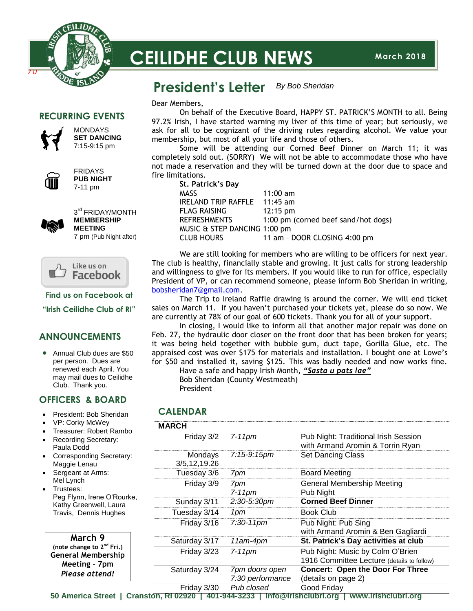

# **CEILIDHE CLUB NEWS**

#### **President's Letter** *By Bob Sheridan*

membership, but most of all your life and those of others.

Dear Members,

## **RECURRING EVENTS**



MONDAYS **SET DANCING** 7:15-9:15 pm



FRIDAYS **PUB NIGHT** 7-11 pm



3<sup>rd</sup> FRIDAY/MONTH **MEMBERSHIP MEETING** 7 pm (Pub Night after)



**Find us on Facebook at**

**"Irish Ceilidhe Club of RI"**

## **ANNOUNCEMENTS**

• Annual Club dues are \$50 per person. Dues are renewed each April. You may mail dues to Ceilidhe Club. Thank you.

## **OFFICERS & BOARD**

- President: Bob Sheridan
- VP: Corky McWey
- Treasurer: Robert Rambo
- Recording Secretary: Paula Dodd
- Corresponding Secretary: Maggie Lenau
- Sergeant at Arms: Mel Lynch
- Trustees: Peg Flynn, Irene O'Rourke, Kathy Greenwell, Laura Travis, Dennis Hughes

 **March 9 (note change to 2nd Fri.) General Membership Meeting – 7pm** *Please attend!*

| fire limitations. |                   |  |  |
|-------------------|-------------------|--|--|
|                   | St. Patrick's Day |  |  |

| $11:00$ am                          |
|-------------------------------------|
| $11:45$ am                          |
| $12:15 \text{ pm}$                  |
| 1:00 pm (corned beef sand/hot dogs) |
| MUSIC & STEP DANCING 1:00 pm        |
| 11 am - DOOR CLOSING 4:00 pm        |
|                                     |

We are still looking for members who are willing to be officers for next year. The club is healthy, financially stable and growing. It just calls for strong leadership and willingness to give for its members. If you would like to run for office, especially President of VP, or can recommend someone, please inform Bob Sheridan in writing, [bobsheridan7@gmail.com.](mailto:bobsheridan7@gmail.com)

On behalf of the Executive Board, HAPPY ST. PATRICK'S MONTH to all. Being

Some will be attending our Corned Beef Dinner on March 11; it was

97.2% Irish, I have started warning my liver of this time of year; but seriously, we ask for all to be cognizant of the driving rules regarding alcohol. We value your

completely sold out. (SORRY) We will not be able to accommodate those who have not made a reservation and they will be turned down at the door due to space and

The Trip to Ireland Raffle drawing is around the corner. We will end ticket sales on March 11. If you haven't purchased your tickets yet, please do so now. We are currently at 78% of our goal of 600 tickets. Thank you for all of your support.

In closing, I would like to inform all that another major repair was done on Feb. 27, the hydraulic door closer on the front door that has been broken for years; it was being held together with bubble gum, duct tape, Gorilla Glue, etc. The appraised cost was over \$175 for materials and installation. I bought one at Lowe's for \$50 and installed it, saving \$125. This was badly needed and now works fine.

Have a safe and happy Irish Month, *"Sasta u pats lae"* Bob Sheridan (County Westmeath) President

## **CALENDAR**

| <b>MARCH</b>            |                                    |                                                                                |
|-------------------------|------------------------------------|--------------------------------------------------------------------------------|
| Friday 3/2              | 7-11pm                             | Pub Night: Traditional Irish Session<br>with Armand Aromin & Torrin Ryan       |
| Mondays<br>3/5,12,19.26 | 7:15-9:15pm                        | <b>Set Dancing Class</b>                                                       |
| Tuesday 3/6             | 7pm                                | <b>Board Meeting</b>                                                           |
| Friday 3/9              | 7pm<br>$7-11$ pm                   | <b>General Membership Meeting</b><br>Pub Night                                 |
| Sunday 3/11             | 2:30-5:30pm                        | <b>Corned Beef Dinner</b>                                                      |
| Tuesday 3/14            | 1pm                                | <b>Book Club</b>                                                               |
| Friday 3/16             | $7:30-11$ pm                       | Pub Night: Pub Sing<br>with Armand Aromin & Ben Gagliardi                      |
| Saturday 3/17           | 11am-4pm                           | St. Patrick's Day activities at club                                           |
| Friday 3/23             | $7-11$ pm                          | Pub Night: Music by Colm O'Brien<br>1916 Committee Lecture (details to follow) |
| Saturday 3/24           | 7pm doors open<br>7:30 performance | <b>Concert: Open the Door For Three</b><br>(details on page 2)                 |
| Friday 3/30             | Pub closed                         | Good Friday                                                                    |

**50 America Street | Cranston, RI 02920 | 401-944-3233 | info@irishclubri.org | www.irishclubri.org**